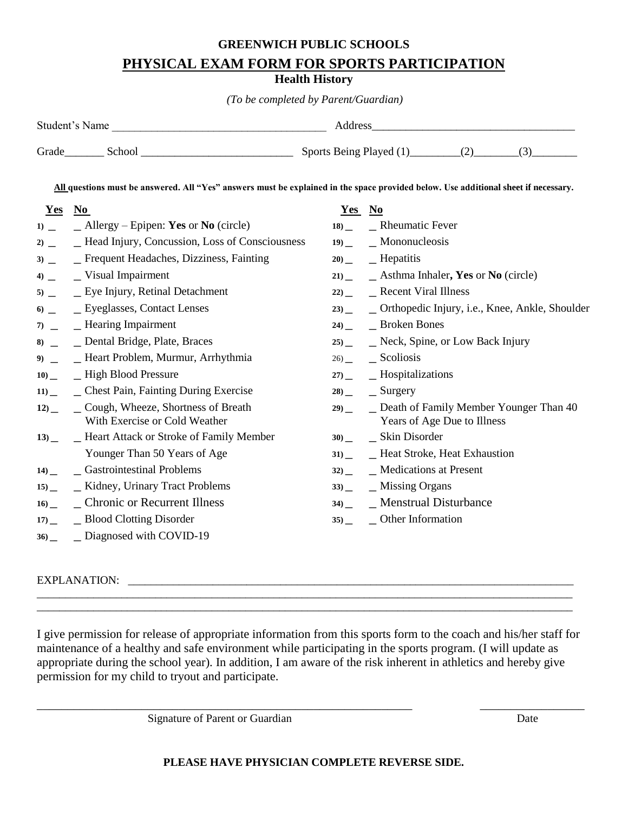# **GREENWICH PUBLIC SCHOOLS PHYSICAL EXAM FORM FOR SPORTS PARTICIPATION**

## **Health History**

*(To be completed by Parent/Guardian)*

| Student's Name |        | Address                 |  |  |
|----------------|--------|-------------------------|--|--|
| Grade          | School | Sports Being Played (1) |  |  |

**All questions must be answered. All "Yes" answers must be explained in the space provided below. Use additional sheet if necessary.**

| <u>Yes</u> No |                                                                     | Yes No |                                                          |
|---------------|---------------------------------------------------------------------|--------|----------------------------------------------------------|
|               | $1)$ _ _ _ _ _ _ Allergy – Epipen: <b>Yes</b> or <b>No</b> (circle) |        | $18$ $\phantom{0}$ Rheumatic Fever                       |
| $2)$ _        | - Head Injury, Concussion, Loss of Consciousness                    |        | $19)$ _ Mononucleosis                                    |
| $3)$ –        | – Frequent Headaches, Dizziness, Fainting                           |        | $20$ _ Hepatitis                                         |
|               | $4)$ _ Visual Impairment                                            |        | $21)$ _ Asthma Inhaler, Yes or No (circle)               |
|               | $5)$ _ Eye Injury, Retinal Detachment                               |        | $22)$ _ Recent Viral Illness                             |
|               | $\bullet$ _ Eyeglasses, Contact Lenses                              |        | 23) _ _ _ Orthopedic Injury, i.e., Knee, Ankle, Shoulder |
|               | $7)$ _ Hearing Impairment                                           |        | $24)$ _ Broken Bones                                     |
|               | 8) _ Dental Bridge, Plate, Braces                                   |        | 25) _ Neck, Spine, or Low Back Injury                    |
|               | 9) _ Heart Problem, Murmur, Arrhythmia                              |        | $26$ _ Scoliosis                                         |
|               | 10) _ High Blood Pressure                                           |        | $27)$ _ Hospitalizations                                 |
|               | 11) _ Chest Pain, Fainting During Exercise                          |        | $28$ _ Surgery                                           |
|               | 12) _ Cough, Wheeze, Shortness of Breath                            |        | 29) _ Death of Family Member Younger Than 40             |
|               | With Exercise or Cold Weather                                       |        | Years of Age Due to Illness                              |
|               | 13) _ Heart Attack or Stroke of Family Member                       |        | $30$ _ Skin Disorder                                     |
|               | Younger Than 50 Years of Age                                        |        | 31) _ Heat Stroke, Heat Exhaustion                       |
|               | 14) _ Gastrointestinal Problems                                     |        | $32)$ _ Medications at Present                           |
|               | 15) _ Kidney, Urinary Tract Problems                                |        | $33)$ _ Missing Organs                                   |
|               | 16) _ Chronic or Recurrent Illness                                  |        | $34)$ _ Menstrual Disturbance                            |
|               | 17) _ Blood Clotting Disorder                                       |        | $35$ $\qquad$ Other Information                          |
|               | 36) _ Diagnosed with COVID-19                                       |        |                                                          |

#### EXPLANATION: \_

I give permission for release of appropriate information from this sports form to the coach and his/her staff for maintenance of a healthy and safe environment while participating in the sports program. (I will update as appropriate during the school year). In addition, I am aware of the risk inherent in athletics and hereby give permission for my child to tryout and participate.

\_\_\_\_\_\_\_\_\_\_\_\_\_\_\_\_\_\_\_\_\_\_\_\_\_\_\_\_\_\_\_\_\_\_\_\_\_\_\_\_\_\_\_\_\_\_\_\_\_\_\_\_\_\_\_\_\_\_\_\_\_ \_\_\_\_\_\_\_\_\_\_\_\_\_\_\_\_\_

\_\_\_\_\_\_\_\_\_\_\_\_\_\_\_\_\_\_\_\_\_\_\_\_\_\_\_\_\_\_\_\_\_\_\_\_\_\_\_\_\_\_\_\_\_\_\_\_\_\_\_\_\_\_\_\_\_\_\_\_\_\_\_\_\_\_\_\_\_\_\_\_\_\_\_\_\_\_\_\_\_\_\_\_\_\_\_\_\_\_\_\_\_\_\_ \_\_\_\_\_\_\_\_\_\_\_\_\_\_\_\_\_\_\_\_\_\_\_\_\_\_\_\_\_\_\_\_\_\_\_\_\_\_\_\_\_\_\_\_\_\_\_\_\_\_\_\_\_\_\_\_\_\_\_\_\_\_\_\_\_\_\_\_\_\_\_\_\_\_\_\_\_\_\_\_\_\_\_\_\_\_\_\_\_\_\_\_\_\_\_

Signature of Parent or Guardian Date Date of Parent or Guardian Date Date Date